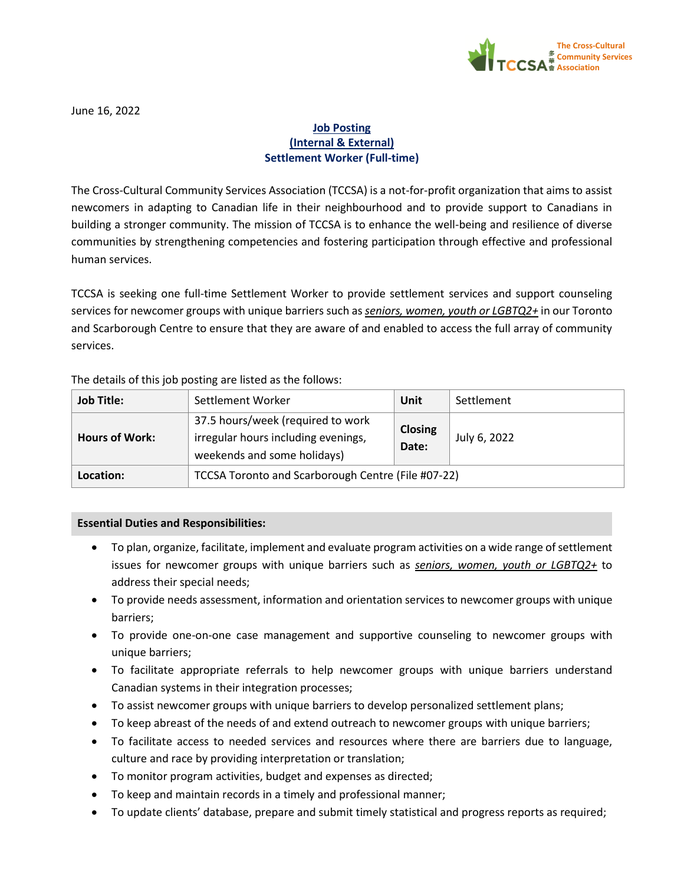

June 16, 2022

## **Job Posting (Internal & External) Settlement Worker (Full-time)**

The Cross-Cultural Community Services Association (TCCSA) is a not-for-profit organization that aims to assist newcomers in adapting to Canadian life in their neighbourhood and to provide support to Canadians in building a stronger community. The mission of TCCSA is to enhance the well-being and resilience of diverse communities by strengthening competencies and fostering participation through effective and professional human services.

TCCSA is seeking one full-time Settlement Worker to provide settlement services and support counseling services for newcomer groups with unique barriers such as *seniors, women, youth or LGBTQ2+* in our Toronto and Scarborough Centre to ensure that they are aware of and enabled to access the full array of community services.

The details of this job posting are listed as the follows:

| <b>Job Title:</b>     | Settlement Worker                                                                                       | Unit                    | Settlement   |
|-----------------------|---------------------------------------------------------------------------------------------------------|-------------------------|--------------|
| <b>Hours of Work:</b> | 37.5 hours/week (required to work<br>irregular hours including evenings,<br>weekends and some holidays) | <b>Closing</b><br>Date: | July 6, 2022 |
| Location:             | TCCSA Toronto and Scarborough Centre (File #07-22)                                                      |                         |              |

## **Essential Duties and Responsibilities:**

- To plan, organize, facilitate, implement and evaluate program activities on a wide range of settlement issues for newcomer groups with unique barriers such as *seniors, women, youth or LGBTQ2+* to address their special needs;
- To provide needs assessment, information and orientation services to newcomer groups with unique barriers;
- To provide one-on-one case management and supportive counseling to newcomer groups with unique barriers;
- To facilitate appropriate referrals to help newcomer groups with unique barriers understand Canadian systems in their integration processes;
- To assist newcomer groups with unique barriers to develop personalized settlement plans;
- To keep abreast of the needs of and extend outreach to newcomer groups with unique barriers;
- To facilitate access to needed services and resources where there are barriers due to language, culture and race by providing interpretation or translation;
- To monitor program activities, budget and expenses as directed;
- To keep and maintain records in a timely and professional manner;
- To update clients' database, prepare and submit timely statistical and progress reports as required;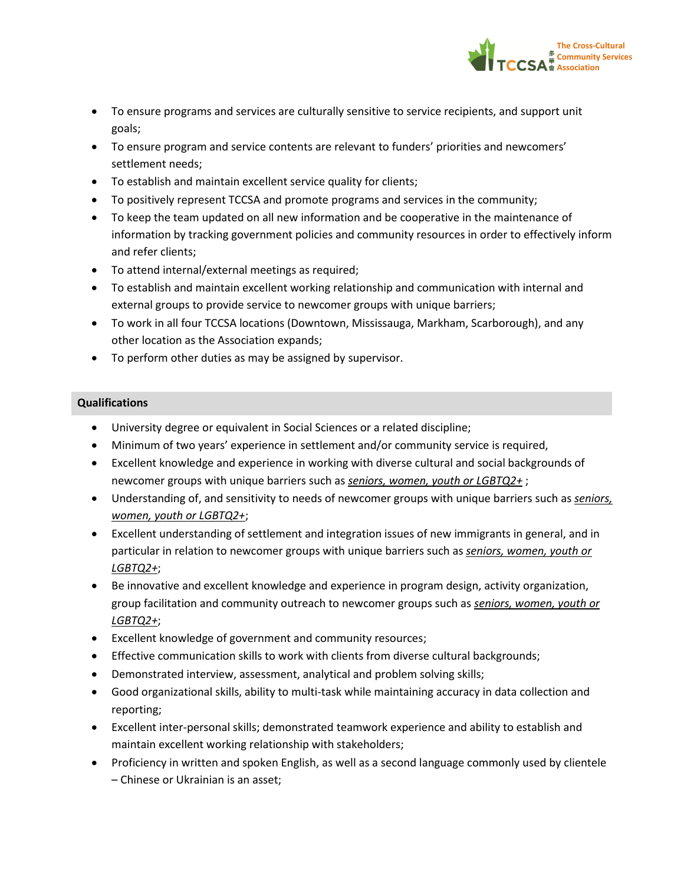

- To ensure programs and services are culturally sensitive to service recipients, and support unit goals;
- To ensure program and service contents are relevant to funders' priorities and newcomers' settlement needs;
- To establish and maintain excellent service quality for clients;
- To positively represent TCCSA and promote programs and services in the community;
- To keep the team updated on all new information and be cooperative in the maintenance of information by tracking government policies and community resources in order to effectively inform and refer clients;
- To attend internal/external meetings as required;
- To establish and maintain excellent working relationship and communication with internal and external groups to provide service to newcomer groups with unique barriers;
- To work in all four TCCSA locations (Downtown, Mississauga, Markham, Scarborough), and any other location as the Association expands;
- To perform other duties as may be assigned by supervisor.

## **Qualifications**

- University degree or equivalent in Social Sciences or a related discipline;
- Minimum of two years' experience in settlement and/or community service is required,
- Excellent knowledge and experience in working with diverse cultural and social backgrounds of newcomer groups with unique barriers such as *seniors, women, youth or LGBTQ2+* ;
- Understanding of, and sensitivity to needs of newcomer groups with unique barriers such as *seniors, women, youth or LGBTQ2+*;
- Excellent understanding of settlement and integration issues of new immigrants in general, and in particular in relation to newcomer groups with unique barriers such as *seniors, women, youth or LGBTQ2+*;
- Be innovative and excellent knowledge and experience in program design, activity organization, group facilitation and community outreach to newcomer groups such as *seniors, women, youth or LGBTQ2+*;
- Excellent knowledge of government and community resources;
- Effective communication skills to work with clients from diverse cultural backgrounds;
- Demonstrated interview, assessment, analytical and problem solving skills;
- Good organizational skills, ability to multi-task while maintaining accuracy in data collection and reporting;
- Excellent inter-personal skills; demonstrated teamwork experience and ability to establish and maintain excellent working relationship with stakeholders;
- Proficiency in written and spoken English, as well as a second language commonly used by clientele – Chinese or Ukrainian is an asset;